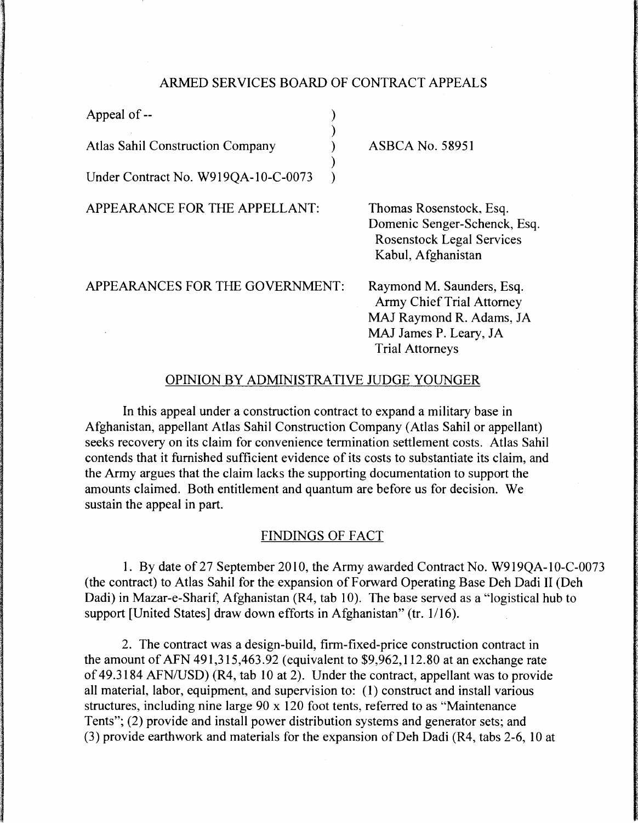### ARMED SERVICES BOARD OF CONTRACT APPEALS

)

)

Appeal of --

Atlas Sahil Construction Company (a)

Under Contract No. W919QA-10-C-0073 )

APPEARANCE FOR THE APPELLANT:

ASBCA No. 58951

Thomas Rosenstock, Esq. Domenic Senger-Schenck, Esq. Rosenstock Legal Services Kabul, Afghanistan

APPEARANCES FOR THE GOVERNMENT:

Raymond M. Saunders, Esq. Army Chief Trial Attorney MAJ Raymond R. Adams, JA MAJ James P. Leary, JA Trial Attorneys

### OPINION BY ADMINISTRATIVE JUDGE YOUNGER

In this appeal under a construction contract to expand a military base in Afghanistan, appellant Atlas Sahil Construction Company (Atlas Sahil or appellant) seeks recovery on its claim for convenience termination settlement costs. Atlas Sahil contends that it furnished sufficient evidence of its costs to substantiate its claim, and the Army argues that the claim lacks the supporting documentation to support the amounts claimed. Both entitlement and quantum are before us for decision. We sustain the appeal in part.

#### FINDINGS OF FACT

1. By date of 27 September 2010, the Army awarded Contract No. W919QA-10-C-0073 (the contract) to Atlas Sahil for the expansion of Forward Operating Base Deh Dadi II (Deh Dadi) in Mazar-e-Sharif, Afghanistan (R4, tab 10). The base served as a "logistical hub to support [United States] draw down efforts in Afghanistan" (tr. 1/16).

2. The contract was a design-build, firm-fixed-price construction contract in the amount of AFN 491,315,463.92 (equivalent to \$9,962,112.80 at an exchange rate of 49.3184 AFN/USD) (R4, tab 10 at 2). Under the contract, appellant was to provide all material, labor, equipment, and supervision to: (I) construct and install various structures, including nine large 90 x 120 foot tents, referred to as "Maintenance Tents"; (2) provide and install power distribution systems and generator sets; and  $(3)$  provide earthwork and materials for the expansion of Deh Dadi (R4, tabs 2-6, 10 at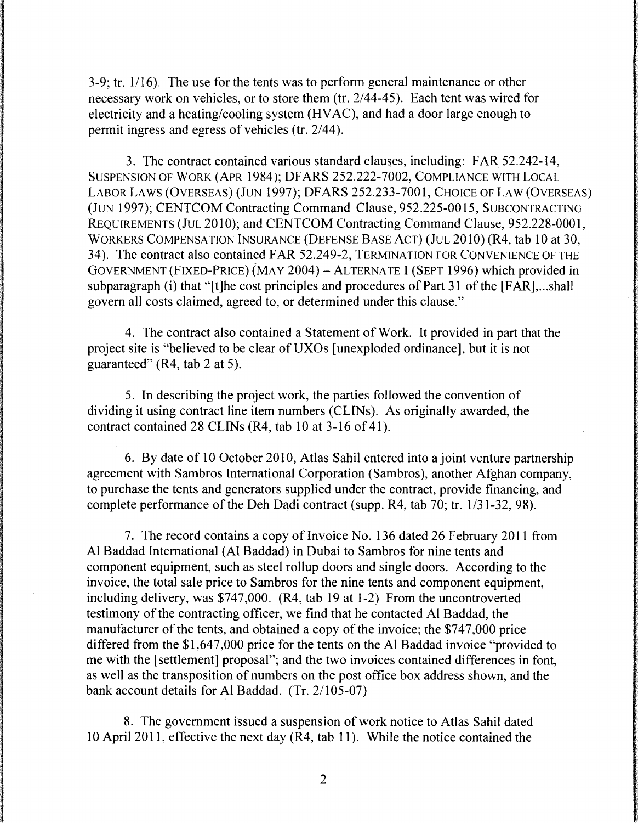3-9; tr.  $1/16$ ). The use for the tents was to perform general maintenance or other necessary work on vehicles, or to store them (tr. 2/44-45). Each tent was wired for electricity and a heating/cooling system (HVAC), and had a door large enough to permit ingress and egress of vehicles (tr. 2/44).

3. The contract contained various standard clauses, including: FAR 52.242-14, SUSPENSION OF WORK (APR 1984); DFARS 252.222-7002, COMPLIANCE WITH LOCAL LABOR LAWS (OVERSEAS) (JUN 1997); DFARS 252.233-7001, CHOICE OF LAW (OVERSEAS) (JUN 1997); CENTCOM Contracting Command Clause, 952.225-0015, SUBCONTRACTING REQUIREMENTS (JUL 2010); and CENTCOM Contracting Command Clause, 952.228-0001, WORKERS COMPENSATION INSURANCE (DEFENSE BASE ACT) (JUL 2010) (R4, tab 10 at 30, 34). The contract also contained FAR 52.249-2, TERMINATION FOR CONVENIENCE OF THE GOVERNMENT (FIXED-PRICE) (MA y 2004) - AL TERNA TE I (SEPT 1996) which provided in subparagraph (i) that "[t]he cost principles and procedures of Part 31 of the [FAR],...shall govern all costs claimed, agreed to, or determined under this clause."

4. The contract also contained a Statement of Work. It provided in part that the project site is "believed to be clear of UXOs [unexploded ordinance], but it is not guaranteed" (R4, tab 2 at 5).

5. In describing the project work, the parties followed the convention of dividing it using contract line item numbers (CLINs). As originally awarded, the contract contained 28 CLINs (R4, tab 10 at 3-16 of 41 ).

6. By date of 10 October 2010, Atlas Sahil entered into a joint venture partnership agreement with Sambros International Corporation (Sambros), another Afghan company, to purchase the tents and generators supplied under the contract, provide financing, and complete performance of the Deh Dadi contract (supp. R4, tab 70; tr. 1/31-32, 98).

7. The record contains a copy of Invoice No. 136 dated 26 February 2011 from Al Baddad International (Al Baddad) in Dubai to Sambros for nine tents and component equipment, such as steel rollup doors and single doors. According to the invoice, the total sale price to Sambros for the nine tents and component equipment, including delivery, was \$747,000. (R4, tab 19 at 1-2) From the uncontroverted testimony of the contracting officer, we find that he contacted Al Baddad, the manufacturer of the tents, and obtained a copy of the invoice; the \$747,000 price differed from the \$1,647,000 price for the tents on the Al Baddad invoice "provided to me with the [settlement] proposal"; and the two invoices contained differences in font, as well as the transposition of numbers on the post office box address shown, and the bank account details for Al Baddad. (Tr. 2/105-07)

8. The government issued a suspension of work notice to Atlas Sahil dated 10 April 2011, effective the next day (R4, tab 11 ). While the notice contained the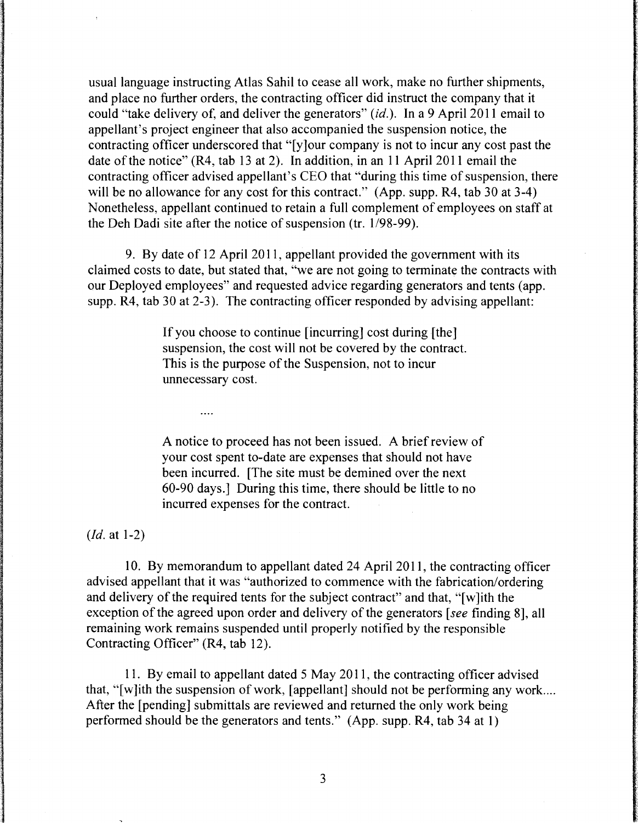usual language instructing Atlas Sahil to cease all work, make no further shipments, and place no further orders, the contracting officer did instruct the company that it could "take delivery of, and deliver the generators" *(id.).* In a 9 April 2011 email to appellant's project engineer that also accompanied the suspension notice, the contracting officer underscored that "[y ]our company is not to incur any cost past the date of the notice" (R4, tab 13 at 2). In addition, in an 11 April 2011 email the contracting officer advised appellant's CEO that "during this time of suspension, there will be no allowance for any cost for this contract." (App. supp. R4, tab 30 at 3-4) Nonetheless, appellant continued to retain a full complement of employees on staff at the Deh Dadi site after the notice of suspension (tr. 1/98-99).

9. By date of 12 April 2011, appellant provided the government with its claimed costs to date, but stated that, "we are not going to terminate the contracts with our Deployed employees" and requested advice regarding generators and tents (app. supp. R4, tab 30 at 2-3). The contracting officer responded by advising appellant:

> If you choose to continue [incurring] cost during [the] suspension, the cost will not be covered by the contract. This is the purpose of the Suspension, not to incur unnecessary cost.

A notice to proceed has not been issued. A brief review of your cost spent to-date are expenses that should not have been incurred. [The site must be demined over the next 60-90 days.] During this time, there should be little to no incurred expenses for the contract.

*(Id.* at 1-2)

 $\cdots$ 

10. By memorandum to appellant dated 24 April 2011, the contracting officer advised appellant that it was "authorized to commence with the fabrication/ordering and delivery of the required tents for the subject contract" and that, "[ w ]ith the exception of the agreed upon order and delivery of the generators [see finding 8], all remaining work remains suspended until properly notified by the responsible Contracting Officer" (R4, tab 12).

11. By email to appellant dated 5 May 2011, the contracting officer advised that, "[w]ith the suspension of work, [appellant] should not be performing any work.... After the [pending] submittals are reviewed and returned the only work being performed should be the generators and tents." (App. supp. R4, tab 34 at 1)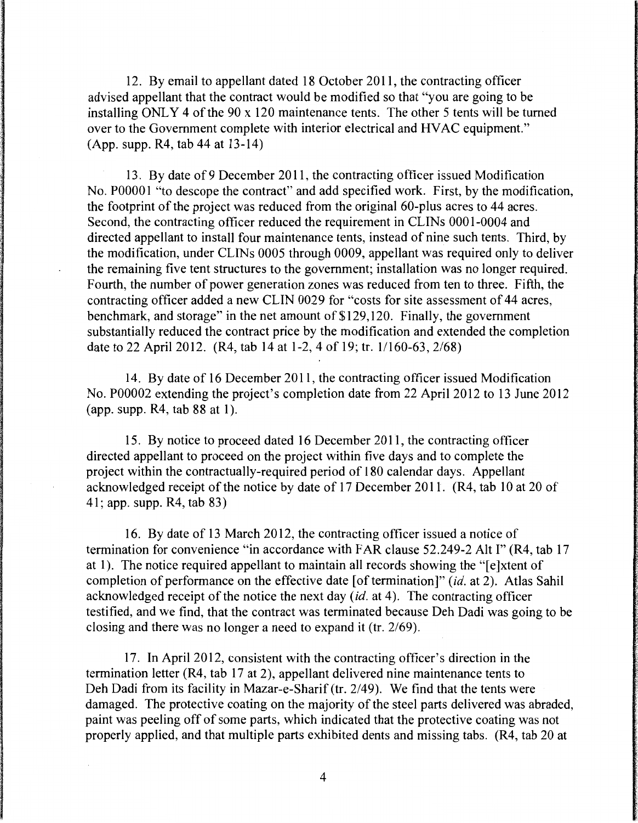12. By email to appellant dated 18 October 2011, the contracting officer advised appellant that the contract would be modified so that "you are going to be installing ONLY 4 of the 90 x 120 maintenance tents. The other 5 tents will be turned over to the Government complete with interior electrical and HVAC equipment." (App. supp. R4, tab 44 at 13-14)

13. By date of9 December 2011, the contracting officer issued Modification No. P00001 "to descope the contract" and add specified work. First, by the modification, the footprint of the project was reduced from the original 60-plus acres to 44 acres. Second, the contracting officer reduced the requirement in CLINs 0001-0004 and directed appellant to install four maintenance tents, instead of nine such tents. Third, by the modification, under CLINs 0005 through 0009, appellant was required only to deliver the remaining five tent structures to the government; installation was no longer required. Fourth, the number of power generation zones was reduced from ten to three. Fifth, the contracting officer added a new CLIN 0029 for "costs for site assessment of 44 acres, benchmark, and storage" in the net amount of \$129,120. Finally, the government substantially reduced the contract price by the modification and extended the completion date to 22 April 2012. (R4, tab 14 at 1-2, 4of19; tr. 1/160-63, 2/68)

14. By date of 16 December 2011, the contracting officer issued Modification No. P00002 extending the project's completion date from 22 April 2012 to 13 June 2012 (app. supp.  $R4$ , tab 88 at 1).

15. By notice to proceed dated 16 December 2011, the contracting officer directed appellant to proceed on the project within five days and to complete the project within the contractually-required period of 180 calendar days. Appellant acknowledged receipt of the notice by date of 17 December 2011. (R4, tab 10 at 20 of 41; app. supp. R4, tab 83)

16. By date of 13 March 2012, the contracting officer issued a notice of termination for convenience "in accordance with FAR clause 52.249-2 Alt I" (R4, tab 17 at 1). The notice required appellant to maintain all records showing the "[e]xtent of completion of performance on the effective date [of termination]" *(id.* at 2). Atlas Sahil acknowledged receipt of the notice the next day *(id.* at 4 ). The contracting officer testified, and we find, that the contract was terminated because Deh Dadi was going to be closing and there was no longer a need to expand it (tr. 2/69).

17. In April 2012, consistent with the contracting officer's direction in the termination letter (R4, tab 17 at 2), appellant delivered nine maintenance tents to Deh Dadi from its facility in Mazar-e-Sharif (tr. 2/49). We find that the tents were damaged. The protective coating on the majority of the steel parts delivered was abraded, paint was peeling off of some parts, which indicated that the protective coating was not properly applied, and that multiple parts exhibited dents and missing tabs. (R4, tab 20 at

4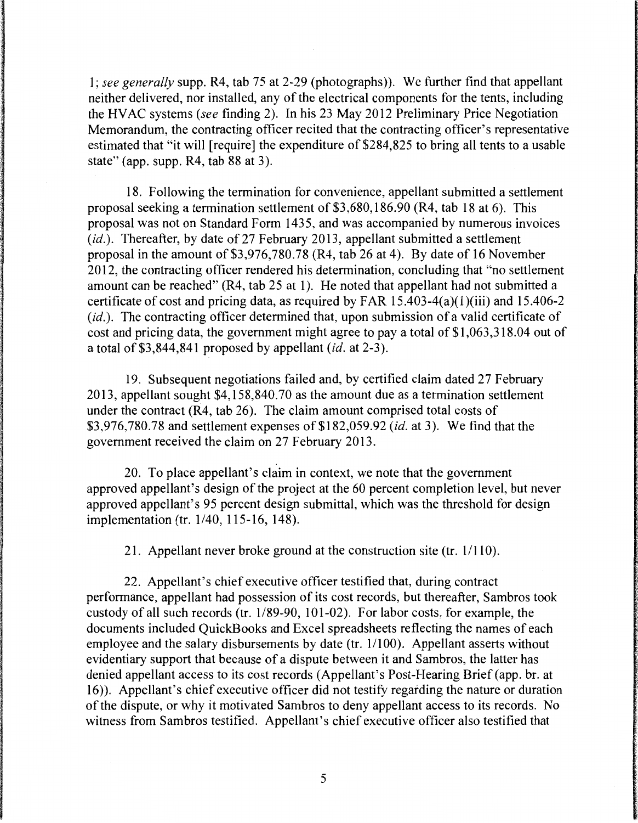1; *see generally* supp. R4, tab 75 at 2-29 (photographs)). We further find that appellant neither delivered, nor installed, any of the electrical components for the tents, including the HVAC systems *(see* finding 2). In his 23 May 2012 Preliminary Price Negotiation Memorandum, the contracting officer recited that the contracting officer's representative estimated that "it will [require] the expenditure of \$284,825 to bring all tents to a usable state" (app. supp. R4, tab 88 at 3).

18. Following the termination for convenience, appellant submitted a settlement proposal seeking a termination settlement of \$3,680, 186.90 (R4, tab 18 at 6). This proposal was not on Standard Form 1435, and was accompanied by numerous invoices (id.). Thereafter, by date of 27 February 2013, appellant submitted a settlement proposal in the amount of \$3,976,780.78 (R4, tab 26 at 4). By date of 16 November 2012, the contracting officer rendered his determination, concluding that "no settlement amount can be reached" (R4, tab 25 at 1). He noted that appellant had not submitted a certificate of cost and pricing data, as required by FAR 15.403-4(a)(l)(iii) and 15.406-2 (id.). The contracting officer determined that, upon submission of a valid certificate of cost and pricing data, the government might agree to pay a total of \$1,063,318.04 out of a total of\$3,844,841 proposed by appellant *(id.* at 2-3).

19. Subsequent negotiations failed and, by certified claim dated 27 February 2013, appellant sought \$4,158,840.70 as the amount due as a termination settlement under the contract (R4, tab 26). The claim amount comprised total costs of \$3,976,780.78 and settlement expenses of\$182,059.92 *(id.* at 3). We find that the government received the claim on 27 February 2013.

20. To place appellant's claim in context, we note that the government approved appellant's design of the project at the 60 percent completion level, but never approved appellant's 95 percent design submittal, which was the threshold for design implementation (tr. 1/40, 115-16, 148).

21. Appellant never broke ground at the construction site (tr.  $1/110$ ).

22. Appellant's chief executive officer testified that, during contract performance, appellant had possession of its cost records, but thereafter, Sambros took custody of all such records (tr. 1/89-90, 101-02). For labor costs, for example, the documents included QuickBooks and Excel spreadsheets reflecting the names of each employee and the salary disbursements by date (tr. 1/100). Appellant asserts without evidentiary support that because of a dispute between it and Sambros, the latter has denied appellant access to its cost records (Appellant's Post-Hearing Brief (app. br. at 16) ). Appellant's chief executive officer did not testify regarding the nature or duration of the dispute, or why it motivated Sambros to deny appellant access to its records. No witness from Sambros testified. Appellant's chief executive officer also testified that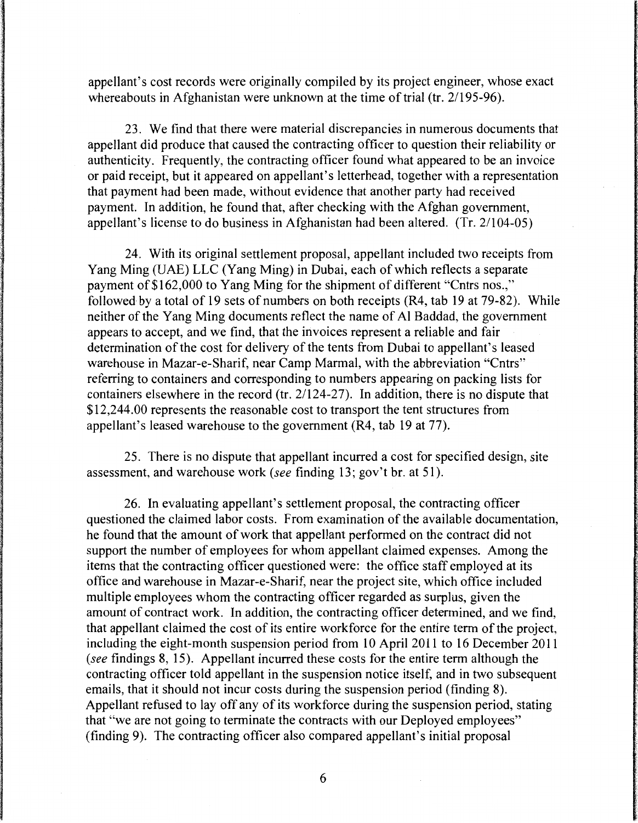appellant's cost records were originally compiled by its project engineer, whose exact whereabouts in Afghanistan were unknown at the time of trial (tr. 2/195-96).

23. We find that there were material discrepancies in numerous documents that appellant did produce that caused the contracting officer to question their reliability or authenticity. Frequently, the contracting officer found what appeared to be an invoice or paid receipt, but it appeared on appellant's letterhead, together with a representation that payment had been made, without evidence that another party had received payment. In addition, he found that, after checking with the Afghan government, appellant's license to do business in Afghanistan had been altered. (Tr. 2/104-05)

24. With its original settlement proposal, appellant included two receipts from Yang Ming (UAE) LLC (Yang Ming) in Dubai, each of which reflects a separate payment of \$162,000 to Yang Ming for the shipment of different "Cntrs nos.," followed by a total of 19 sets of numbers on both receipts (R4, tab 19 at 79-82). While neither of the Yang Ming documents reflect the name of Al Baddad, the government appears to accept, and we find, that the invoices represent a reliable and fair determination of the cost for delivery of the tents from Dubai to appellant's leased warehouse in Mazar-e-Sharif, near Camp Marmal, with the abbreviation "Cntrs" referring to containers and corresponding to numbers appearing on packing lists for containers elsewhere in the record (tr. 21124-27). In addition, there is no dispute that \$12,244.00 represents the reasonable cost to transport the tent structures from appellant's leased warehouse to the government (R4, tab 19 at 77).

25. There is no dispute that appellant incurred a cost for specified design, site assessment, and warehouse work (see finding 13; gov't br. at 51 ).

26. In evaluating appellant's settlement proposal, the contracting officer questioned the claimed labor costs. From examination of the available documentation, he found that the amount of work that appellant performed on the contract did not support the number of employees for whom appellant claimed expenses. Among the items that the contracting officer questioned were: the office staff employed at its office and warehouse in Mazar-e-Sharif, near the project site, which office included multiple employees whom the contracting officer regarded as surplus, given the amount of contract work. In addition, the contracting officer determined, and we find, that appellant claimed the cost of its entire workforce for the entire term of the project, including the eight-month suspension period from 10 April 2011 to 16 December 2011 (see findings 8, 15). Appellant incurred these costs for the entire term although the contracting officer told appellant in the suspension notice itself, and in two subsequent emails, that it should not incur costs during the suspension period (finding 8). Appellant refused to lay off any of its workforce during the suspension period, stating that "we are not going to terminate the contracts with our Deployed employees" (finding 9). The contracting officer also compared appellant's initial proposal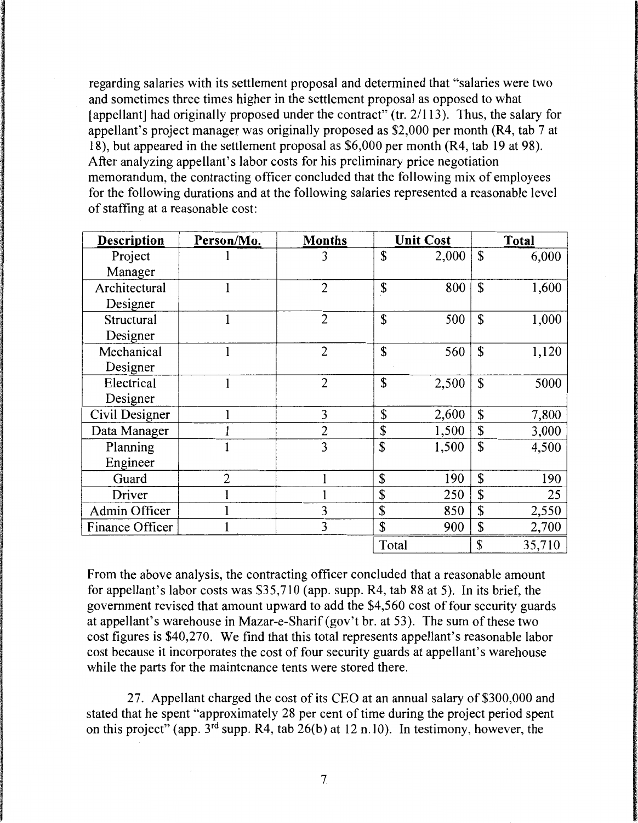regarding salaries with its settlement proposal and determined that "salaries were two and sometimes three times higher in the settlement proposal as opposed to what [appellant] had originally proposed under the contract" (tr. 2/113). Thus, the salary for appellant's project manager was originally proposed as \$2,000 per month (R4, tab 7 at 18), but appeared in the settlement proposal as \$6,000 per month (R4, tab 19 at 98). After analyzing appellant's labor costs for his preliminary price negotiation memorandum, the contracting officer concluded that the following mix of employees for the following durations and at the following salaries represented a reasonable level of staffing at a reasonable cost:

| <b>Description</b> | Person/Mo.     | <b>Months</b>  |       | <b>Unit Cost</b> |             | <b>Total</b> |
|--------------------|----------------|----------------|-------|------------------|-------------|--------------|
| Project            |                | 3              | \$    | 2,000            | $\mathbf S$ | 6,000        |
| Manager            |                |                |       |                  |             |              |
| Architectural      |                | $\overline{2}$ | \$    | 800              | $\mathbf S$ | 1,600        |
| Designer           |                |                |       |                  |             |              |
| Structural         | 1              | $\overline{2}$ | \$    | 500              | $\mathbf S$ | 1,000        |
| Designer           |                |                |       |                  |             |              |
| Mechanical         |                | $\overline{2}$ | \$    | 560              | $\mathbf S$ | 1,120        |
| Designer           |                |                |       |                  |             |              |
| Electrical         |                | $\overline{2}$ | \$    | 2,500            | \$          | 5000         |
| Designer           |                |                |       |                  |             |              |
| Civil Designer     |                | 3              | \$    | 2,600            | \$          | 7,800        |
| Data Manager       |                | 2              | \$    | 1,500            | \$          | 3,000        |
| Planning           |                | 3              | \$    | 1,500            | \$          | 4,500        |
| Engineer           |                |                |       |                  |             |              |
| Guard              | $\overline{2}$ |                | \$    | 190              | \$          | 190          |
| Driver             |                |                | \$    | 250              | \$          | 25           |
| Admin Officer      |                | 3              | \$    | 850              | \$          | 2,550        |
| Finance Officer    |                | 3              | \$    | 900              | \$          | 2,700        |
|                    |                |                | Total |                  | \$          | 35,710       |

From the above analysis, the contracting officer concluded that a reasonable amount for appellant's labor costs was \$35,710 (app. supp. R4, tab 88 at 5). In its brief, the government revised that amount upward to add the \$4,560 cost of four security guards at appellant's warehouse in Mazar-e-Sharif (gov't br. at 53). The sum of these two cost figures is \$40,270. We find that this total represents appellant's reasonable labor cost because it incorporates the cost of four security guards at appellant's warehouse while the parts for the maintenance tents were stored there.

27. Appellant charged the cost of its CEO at an annual salary of \$300,000 and stated that he spent "approximately 28 per cent of time during the project period spent on this project" (app.  $3^{rd}$  supp. R4, tab  $26(b)$  at 12 n.10). In testimony, however, the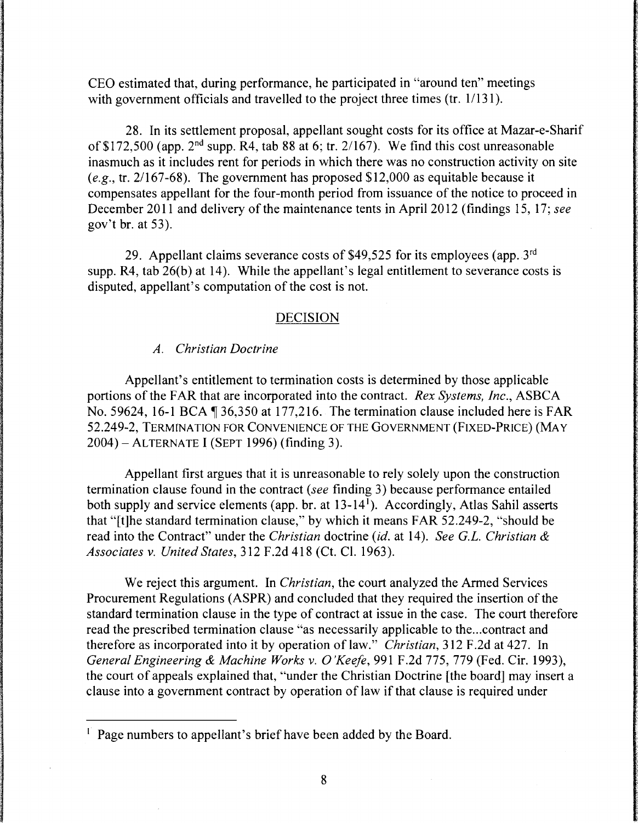CEO estimated that, during performance, he participated in "around ten" meetings with government officials and travelled to the project three times (tr. 1/131).

28. In its settlement proposal, appellant sought costs for its office at Mazar-e-Sharif of \$172,500 (app.  $2<sup>nd</sup>$  supp. R4, tab 88 at 6; tr. 2/167). We find this cost unreasonable inasmuch as it includes rent for periods in which there was no construction activity on site *(e.g.,* tr. 2/167-68). The government has proposed \$12,000 as equitable because it compensates appellant for the four-month period from issuance of the notice to proceed in December 2011 and delivery of the maintenance tents in April 2012 (findings 15, 17; *see*  gov't br. at 53).

29. Appellant claims severance costs of \$49,525 for its employees (app.  $3<sup>rd</sup>$ ) supp. R4, tab 26(b) at 14). While the appellant's legal entitlement to severance costs is disputed, appellant's computation of the cost is not.

# DECISION

## *A. Christian Doctrine*

Appellant's entitlement to termination costs is determined by those applicable portions of the FAR that are incorporated into the contract. *Rex Systems, Inc.,* ASBCA No. 59624, 16-1 BCA  $\P$  36,350 at 177,216. The termination clause included here is FAR 52.249-2, TERMINATION FOR CONVENIENCE OF THE GOVERNMENT (FIXED-PRICE) (MAY 2004)-ALTERNATE I (SEPT 1996) (finding 3).

Appellant first argues that it is unreasonable to rely solely upon the construction termination clause found in the contract *(see* finding 3) because performance entailed both supply and service elements (app. br. at 13-14<sup>1</sup>). Accordingly, Atlas Sahil asserts that "[t]he standard termination clause," by which it means FAR 52.249-2, "should be read into the Contract" under the *Christian* doctrine *(id.* at 14 ). *See G.L. Christian* & *Associates v. United States,* 312 F.2d 418 (Ct. Cl. 1963).

We reject this argument. In *Christian,* the court analyzed the Armed Services Procurement Regulations (ASPR) and concluded that they required the insertion of the standard termination clause in the type of contract at issue in the case. The court therefore read the prescribed termination clause "as necessarily applicable to the ... contract and therefore as incorporated into it by operation of law." *Christian,* 312 F.2d at 427. In *General Engineering* & *Machine Works v. O'Keefe,* 991 F.2d 775, 779 (Fed. Cir. 1993), the court of appeals explained that, "under the Christian Doctrine [the board] may insert a clause into a government contract by operation of law if that clause is required under

<sup>&</sup>lt;sup>1</sup> Page numbers to appellant's brief have been added by the Board.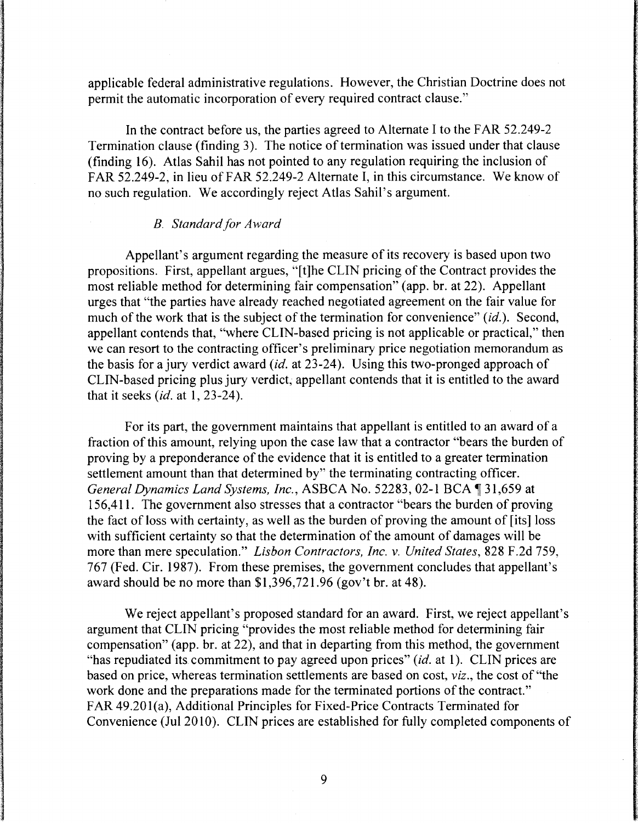applicable federal administrative regulations. However, the Christian Doctrine does not permit the automatic incorporation of every required contract clause."

In the contract before us, the parties agreed to Alternate I to the FAR 52.249-2 Termination clause (finding 3). The notice of termination was issued under that clause (finding 16). Atlas Sahil has not pointed to any regulation requiring the inclusion of FAR 52.249-2, in lieu of FAR 52.249-2 Alternate I, in this circumstance. We know of no such regulation. We accordingly reject Atlas Sahil's argument.

## **B.** Standard for Award

Appellant's argument regarding the measure of its recovery is based upon two propositions. First, appellant argues, "[t]he CLIN pricing of the Contract provides the most reliable method for determining fair compensation" (app. br. at 22). Appellant urges that "the parties have already reached negotiated agreement on the fair value for much of the work that is the subject of the termination for convenience" *(id.).* Second, appellant contends that, "where CLIN-based pricing is not applicable or practical," then we can resort to the contracting officer's preliminary price negotiation memorandum as the basis for a jury verdict award *(id.* at 23-24 ). Using this two-pronged approach of CLIN-based pricing plus jury verdict, appellant contends that it is entitled to the award that it seeks *(id.* at 1, 23-24).

For its part, the government maintains that appellant is entitled to an award of a fraction of this amount, relying upon the case law that a contractor "bears the burden of proving by a preponderance of the evidence that it is entitled to a greater termination settlement amount than that determined by" the terminating contracting officer. General Dynamics Land Systems, Inc., ASBCA No. 52283, 02-1 BCA 131,659 at 156,411. The government also stresses that a contractor "bears the burden of proving the fact of loss with certainty, as well as the burden of proving the amount of [its] loss with sufficient certainty so that the determination of the amount of damages will be more than mere speculation." *Lisbon Contractors, Inc.* v. *United States,* 828 F.2d 759, 767 (Fed. Cir. 1987). From these premises, the government concludes that appellant's award should be no more than \$1,396,721.96 (gov't br. at 48).

We reject appellant's proposed standard for an award. First, we reject appellant's argument that CLIN pricing "provides the most reliable method for determining fair compensation" (app. br. at 22), and that in departing from this method, the government "has repudiated its commitment to pay agreed upon prices" *(id.* at 1 ). CLIN prices are based on price, whereas termination settlements are based on cost, *viz.,* the cost of "the work done and the preparations made for the terminated portions of the contract." FAR 49.20l(a), Additional Principles for Fixed-Price Contracts Terminated for Convenience (Jul 2010). CLIN prices are established for fully completed components of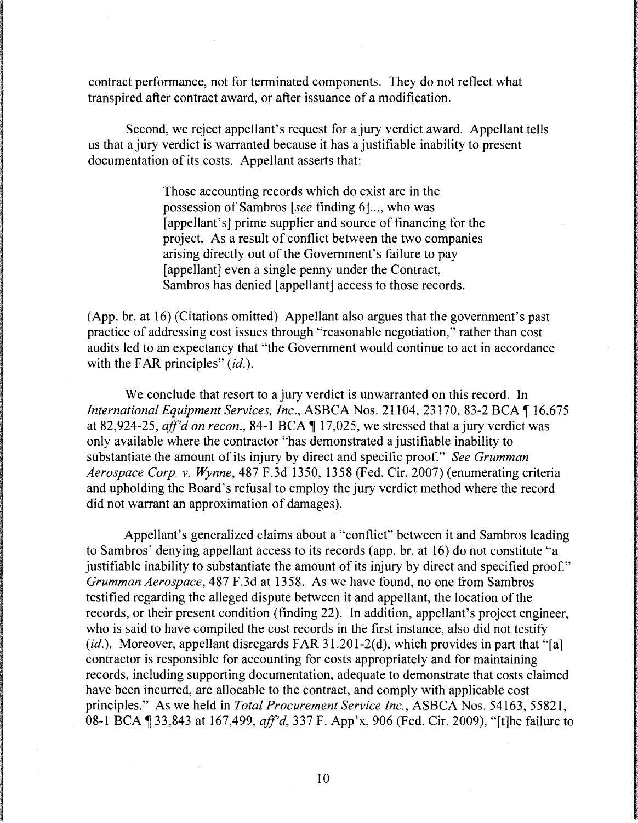contract performance, not for terminated components. They do not reflect what transpired after contract award, or after issuance of a modification.

Second, we reject appellant's request for a jury verdict award. Appellant tells us that a jury verdict is warranted because it has a justifiable inability to present documentation of its costs. Appellant asserts that:

> Those accounting records which do exist are in the possession of Sam bros *[see* finding 6] ... , who was [appellant's] prime supplier and source of financing for the project. As a result of conflict between the two companies arising directly out of the Government's failure to pay [appellant] even a single penny under the Contract, Sambros has denied [appellant] access to those records.

(App. br. at 16) (Citations omitted) Appellant also argues that the government's past practice of addressing cost issues through "reasonable negotiation," rather than cost audits led to an expectancy that "the Government would continue to act in accordance with the FAR principles" *(id.)*.

We conclude that resort to a jury verdict is unwarranted on this record. In *International Equipment Services, Inc., ASBCA Nos. 21104, 23170, 83-2 BCA* 16,675 at 82,924-25, *aff'd on recon.*, 84-1 BCA  $\P$  17,025, we stressed that a jury verdict was only available where the contractor "has demonstrated a justifiable inability to substantiate the amount of its injury by direct and specific proof." *See Grumman Aerospace Corp. v. Wynne,* 487 F.3d 1350, 1358 (Fed. Cir. 2007) (enumerating criteria and upholding the Board's refusal to employ the jury verdict method where the record did not warrant an approximation of damages).

Appellant's generalized claims about a "conflict" between it and Sambros leading to Sambros' denying appellant access to its records (app. br. at 16) do not constitute "a justifiable inability to substantiate the amount of its injury by direct and specified proof." *Grumman Aerospace,* 487 F.3d at 1358. As we have found, no one from Sambros testified regarding the alleged dispute between it and appellant, the location of the records, or their present condition (finding 22). In addition, appellant's project engineer, who is said to have compiled the cost records in the first instance, also did not testify *(id.).* Moreover, appellant disregards FAR 31.201-2(d), which provides in part that "[a] contractor is responsible for accounting for costs appropriately and for maintaining records, including supporting documentation, adequate to demonstrate that costs claimed have been incurred, are allocable to the contract, and comply with applicable cost principles." As we held in *Total Procurement Service Inc.,* ASBCA Nos. 54163, 55821, 08-1 BCA 1 33,843 at 167,499, *aff'd*, 337 F. App'x, 906 (Fed. Cir. 2009), "[t]he failure to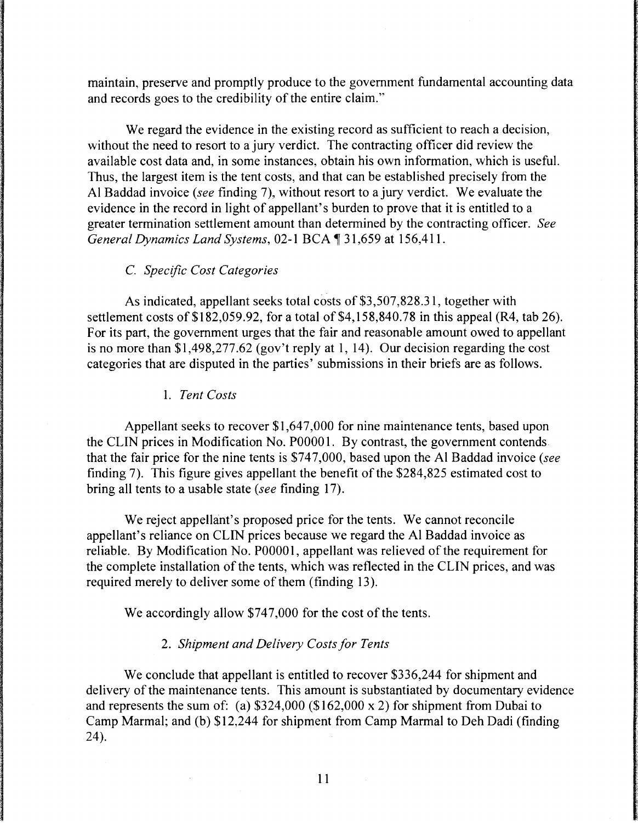maintain, preserve and promptly produce to the government fundamental accounting data and records goes to the credibility of the entire claim."

We regard the evidence in the existing record as sufficient to reach a decision, without the need to resort to a jury verdict. The contracting officer did review the available cost data and, in some instances, obtain his own information, which is useful. Thus, the largest item is the tent costs, and that can be established precisely from the Al Baddad invoice *(see* finding 7), without resort to a jury verdict. We evaluate the evidence in the record in light of appellant's burden to prove that it is entitled to a greater termination settlement amount than determined by the contracting officer. *See General Dynamics Land Systems, 02-1 BCA* 131,659 at 156,411.

## C. *Specific Cost Categories*

As indicated, appellant seeks total costs of \$3,507,828.31, together with settlement costs of \$182,059.92, for a total of  $$4,158,840.78$  in this appeal (R4, tab 26). For its part, the government urges that the fair and reasonable amount owed to appellant is no more than \$1,498,277.62 (gov't reply at 1, 14). Our decision regarding the cost categories that are disputed in the parties' submissions in their briefs are as follows.

1. *Tent Costs* 

Appellant seeks to recover \$1,647,000 for nine maintenance tents, based upon the CLIN prices in Modification No. POOOO 1. By contrast, the government contends that the fair price for the nine tents is \$747,000, based upon the Al Baddad invoice *(see*  finding 7). This figure gives appellant the benefit of the \$284,825 estimated cost to bring all tents to a usable state *(see* finding 17).

We reject appellant's proposed price for the tents. We cannot reconcile appellant's reliance on CLIN prices because we regard the Al Baddad invoice as reliable. By Modification No. POOOOl, appellant was relieved of the requirement for the complete installation of the tents, which was reflected in the CLIN prices, and was required merely to deliver some of them (finding 13).

We accordingly allow \$747,000 for the cost of the tents.

## 2. *Shipment and Delivery Costs for Tents*

We conclude that appellant is entitled to recover \$336,244 for shipment and delivery of the maintenance tents. This amount is substantiated by documentary evidence and represents the sum of: (a)  $$324,000$  ( $$162,000 \times 2$ ) for shipment from Dubai to Camp Marmal; and (b) \$12,244 for shipment from Camp Marmal to Deh Dadi (finding 24).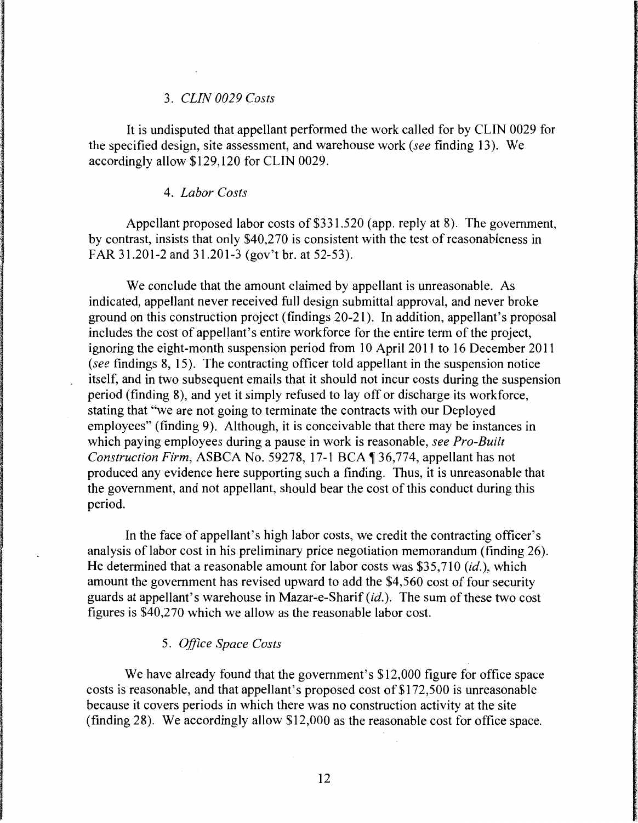## 3. *CLIN 0029 Costs*

It is undisputed that appellant performed the work called for by CLIN 0029 for the specified design, site assessment, and warehouse work *(see* finding 13 ). We accordingly allow \$129, 120 for CLIN 0029.

#### 4. *Labor Costs*

Appellant proposed labor costs of \$331,520 (app. reply at 8). The government, by contrast, insists that only \$40,270 is consistent with the test of reasonableness in FAR 31.201-2 and 31.201-3 (gov't br. at 52-53).

We conclude that the amount claimed by appellant is unreasonable. As indicated, appellant never received full design submittal approval, and never broke ground on this construction project (findings 20-21 ). In addition, appellant's proposal includes the cost of appellant's entire workforce for the entire term of the project, ignoring the eight-month suspension period from 10 April 2011 to 16 December 2011 *(see* findings 8, 15). The contracting officer told appellant in the suspension notice itself, and in two subsequent emails that it should not incur costs during the suspension period (finding 8), and yet it simply refused to lay off or discharge its workforce, stating that "we are not going to terminate the contracts with our Deployed employees" (finding 9). Although, it is conceivable that there may be instances in which paying employees during a pause in work is reasonable, *see Pro-Built Construction Firm, ASBCA No.* 59278, 17-1 BCA 136,774, appellant has not produced any evidence here supporting such a finding. Thus, it is unreasonable that the government, and not appellant, should bear the cost of this conduct during this period.

In the face of appellant's high labor costs, we credit the contracting officer's analysis of labor cost in his preliminary price negotiation memorandum (finding 26). He determined that a reasonable amount for labor costs was \$35,710 (id.), which amount the government has revised upward to add the \$4,560 cost of four security guards at appellant's warehouse in Mazar-e-Sharif (id.). The sum of these two cost figures is \$40,270 which we allow as the reasonable labor cost.

## 5. *Office Space Costs*

We have already found that the government's \$12,000 figure for office space costs is reasonable, and that appellant's proposed cost of \$172,500 is unreasonable because it covers periods in which there was no construction activity at the site (finding 28). We accordingly allow \$12,000 as the reasonable cost for office space.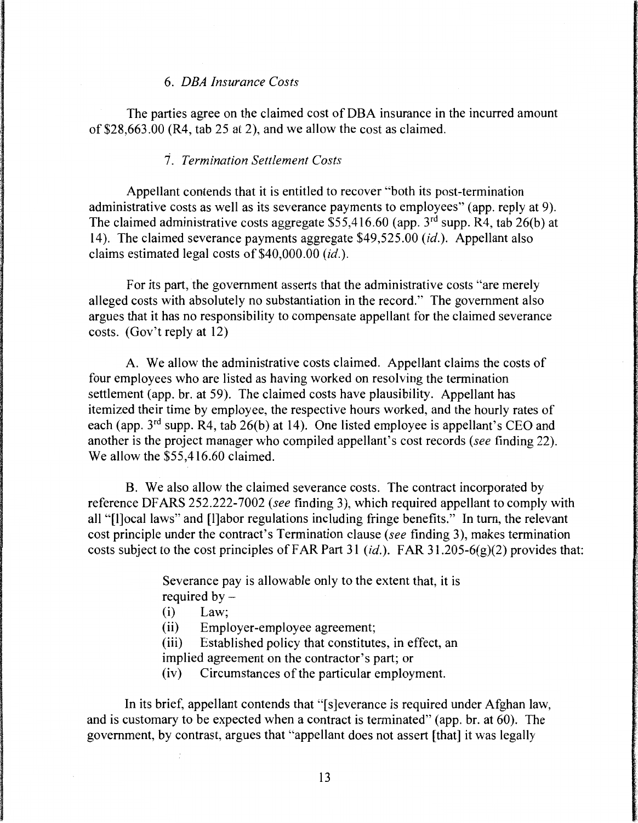#### 6. *DEA Insurance Costs*

The parties agree on the claimed cost of DBA insurance in the incurred amount of \$28,663.00 (R4, tab 25 at 2), and we allow the cost as claimed.

### 1. *Termination Settlement Costs*

Appellant contends that it is entitled to recover "both its post-termination administrative costs as well as its severance payments to employees" (app. reply at 9). The claimed administrative costs aggregate  $$55,416.60$  (app.  $3<sup>rd</sup>$  supp. R4, tab 26(b) at 14). The claimed severance payments aggregate \$49,525.00 *(id.).* Appellant also claims estimated legal costs of \$40,000.00 *(id.).* 

For its part, the government asserts that the administrative costs "are merely alleged costs with absolutely no substantiation in the record." The government also argues that it has no responsibility to compensate appellant for the claimed severance costs. (Gov't reply at 12)

A. We allow the administrative costs claimed. Appellant claims the costs of four employees who are listed as having worked on resolving the termination settlement (app. br. at 59). The claimed costs have plausibility. Appellant has itemized their time by employee, the respective hours worked, and the hourly rates of each (app.  $3<sup>rd</sup>$  supp. R4, tab 26(b) at 14). One listed employee is appellant's CEO and another is the project manager who compiled appellant's cost records *(see* finding 22). We allow the \$55,416.60 claimed.

B. We also allow the claimed severance costs. The contract incorporated by reference DF ARS 252.222-7002 *(see* finding 3), which required appellant to comply with all "[l]ocal laws" and [l]abor regulations including fringe benefits." In turn, the relevant cost principle under the contract's Termination clause *(see* finding 3), makes termination costs subject to the cost principles of FAR Part 31 *(id.).* FAR 3 l .205-6(g)(2) provides that:

> Severance pay is allowable only to the extent that, it is required by  $-$

- (i) Law;
- (ii) Employer-employee agreement;
- (iii) Established policy that constitutes, in effect, an implied agreement on the contractor's part; or
- (iv) Circumstances of the particular employment.

In its brief, appellant contends that "[s]everance is required under Afghan law, and is customary to be expected when a contract is terminated" (app. br. at 60). The government, by contrast, argues that "appellant does not assert [that] it was legally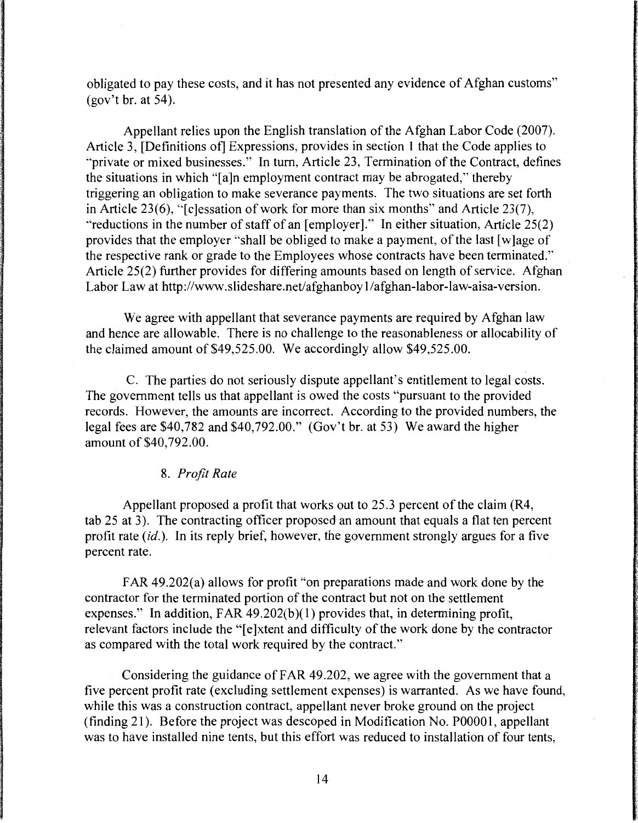obligated to pay these costs, and it has not presented any evidence of Afghan customs"  $(gov't br. at 54)$ .

Appellant relies upon the English translation of the Afghan Labor Code (2007). Article 3, [Definitions of] Expressions, provides in section I that the Code applies to "private or mixed businesses." In turn, Article 23, Termination of the Contract, defines the situations in which "[a ]n employment contract may be abrogated," thereby triggering an obligation to make severance payments. The two situations are set forth in Article 23(6), "[c]essation of work for more than six months" and Article 23(7), "reductions in the number of staff of an  $[emplover]$ ." In either situation, Article 25(2) provides that the employer "shall be obliged to make a payment, of the last [w]age of the respective rank or grade to the Employees whose contracts have been terminated." Article 25(2) further provides for differing amounts based on length of service. Afghan Labor Law at http://www.slideshare.net/afghanboy l/afghan-labor-law-aisa-version.

We agree with appellant that severance payments are required by Afghan law and hence are allowable. There is no challenge to the reasonableness or allocability of the claimed amount of \$49,525.00. We accordingly allow \$49,525.00.

C. The parties do not seriously dispute appellant's entitlement to legal costs. The government tells us that appellant is owed the costs "pursuant to the provided records. However, the amounts are incorrect. According to the provided numbers, the legal fees are \$40,782 and \$40,792.00." (Gov't br. at 53) We award the higher amount of \$40, 792.00.

# 8. *Profit Rate*

Appellant proposed a profit that works out to 25.3 percent of the claim (R4, tab 25 at 3). The contracting officer proposed an amount that equals a flat ten percent profit rate *(id.).* In its reply brief, however, the government strongly argues for a five percent rate.

FAR 49.202(a) allows for profit "on preparations made and work done by the contractor for the terminated portion of the contract but not on the settlement expenses." In addition,  $FAR$  49.202(b)(1) provides that, in determining profit, relevant factors include the "[e]xtent and difficulty of the work done by the contractor as compared with the total work required by the contract."

Considering the guidance of FAR 49 .202, we agree with the government that a five percent profit rate (excluding settlement expenses) is warranted. As we have found, while this was a construction contract, appellant never broke ground on the project (finding 21). Before the project was descoped in Modification No. POOOOI, appellant was to have installed nine tents, but this effort was reduced to installation of four tents,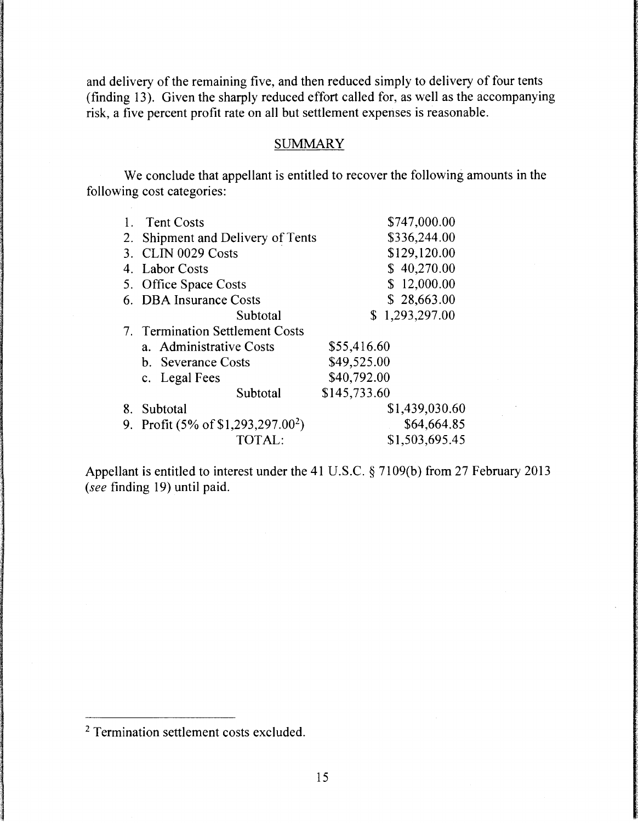and delivery of the remaining five, and then reduced simply to delivery of four tents (finding 13). Given the sharply reduced effort called for, as well as the accompanying risk, a five percent profit rate on all but settlement expenses is reasonable.

# **SUMMARY**

We conclude that appellant is entitled to recover the following amounts in the following cost categories:

|    | <b>Tent Costs</b>                          | \$747,000.00       |
|----|--------------------------------------------|--------------------|
| 2. | Shipment and Delivery of Tents             | \$336,244.00       |
| 3. | CLIN 0029 Costs                            | \$129,120.00       |
|    | 4. Labor Costs                             | \$40,270.00        |
|    | 5. Office Space Costs                      | \$12,000.00        |
|    | 6. DBA Insurance Costs                     | \$28,663.00        |
|    | Subtotal                                   | 1,293,297.00<br>S. |
|    | 7. Termination Settlement Costs            |                    |
|    | a. Administrative Costs                    | \$55,416.60        |
|    | b. Severance Costs                         | \$49,525.00        |
|    | c. Legal Fees                              | \$40,792.00        |
|    | Subtotal                                   | \$145,733.60       |
| 8. | Subtotal                                   | \$1,439,030.60     |
| 9. | Profit $(5\% \text{ of } $1,293,297.00^2)$ | \$64,664.85        |
|    | <b>TOTAL:</b>                              | \$1,503,695.45     |

Appellant is entitled to interest under the 41 U.S.C. § 7109(b) from 27 February 2013 (see finding 19) until paid.

<sup>2</sup> Termination settlement costs excluded.